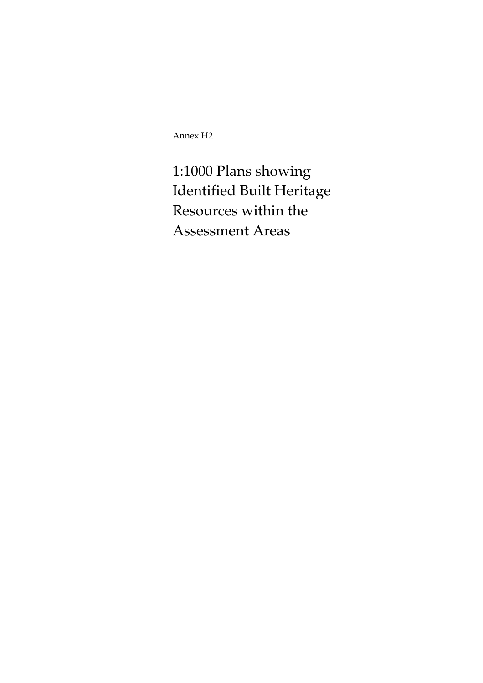Annex H2

1:1000 Plans showing Identified Built Heritage Resources within the Assessment Areas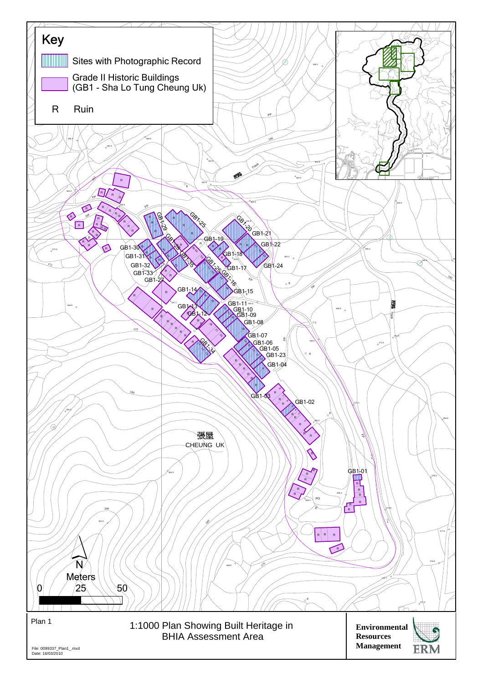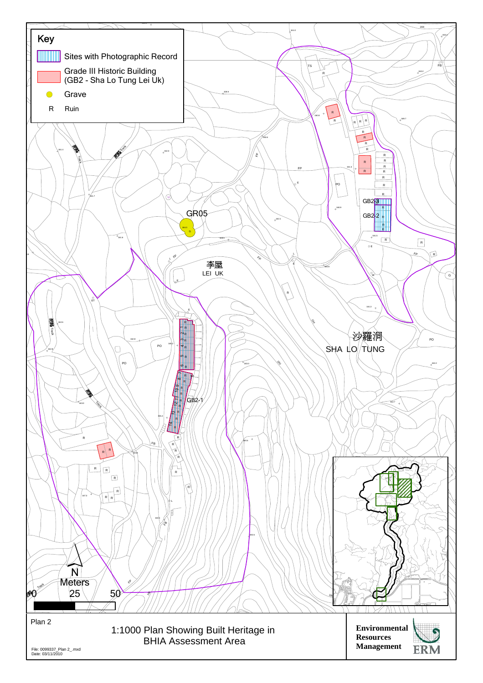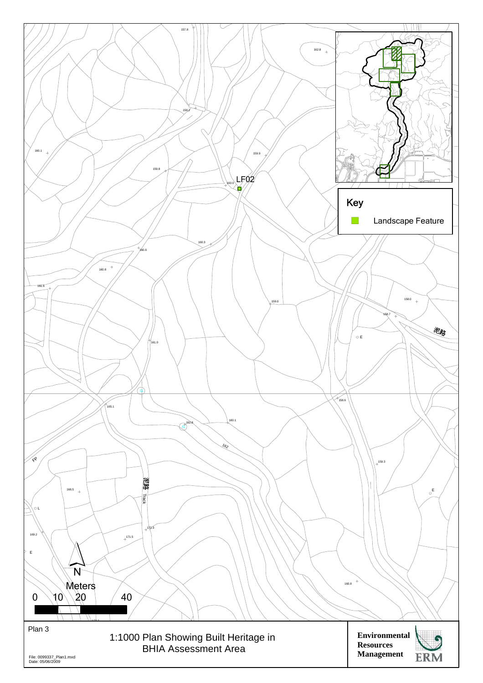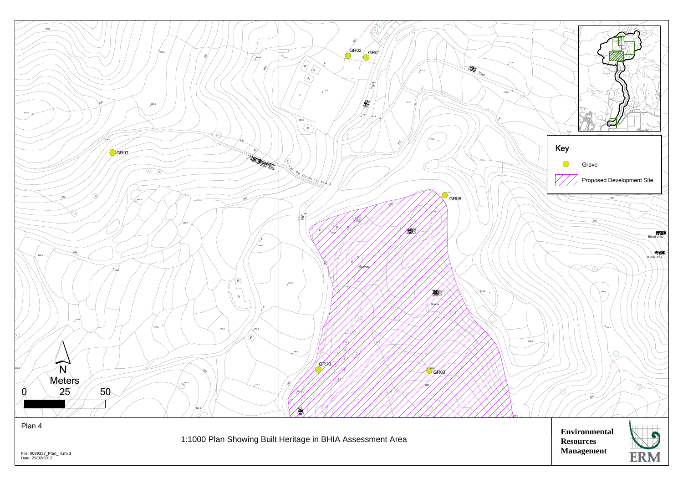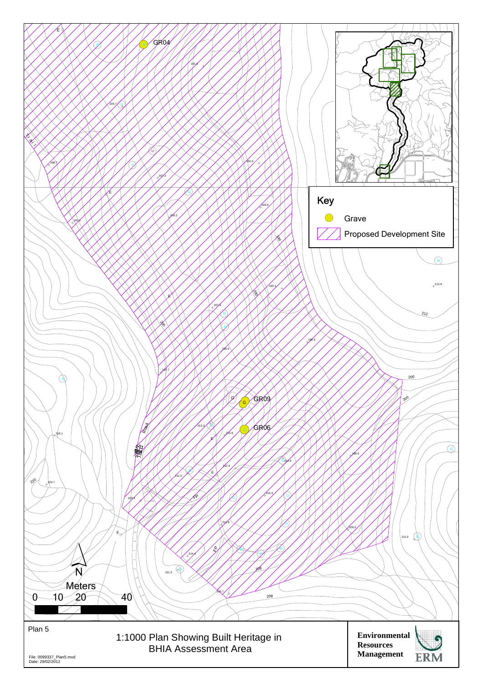